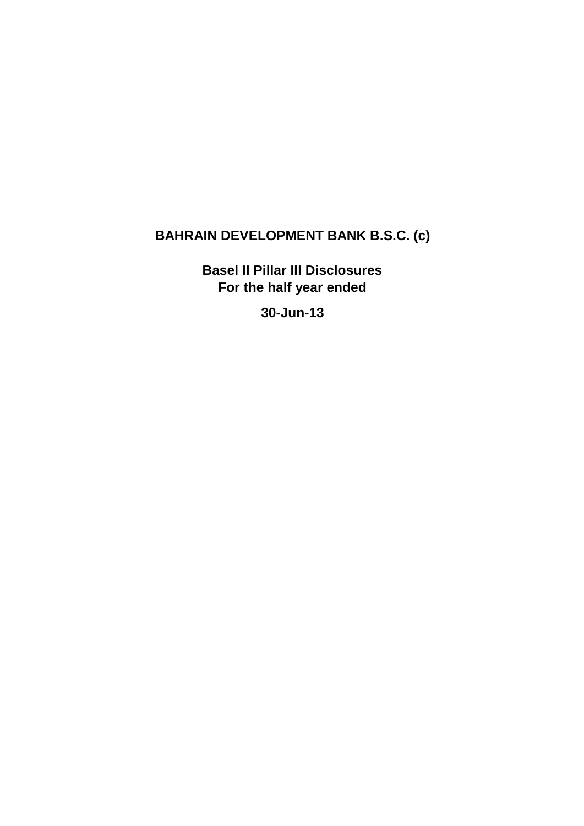# **BAHRAIN DEVELOPMENT BANK B.S.C. (c)**

**Basel II Pillar III Disclosures For the half year ended** 

**30-Jun-13**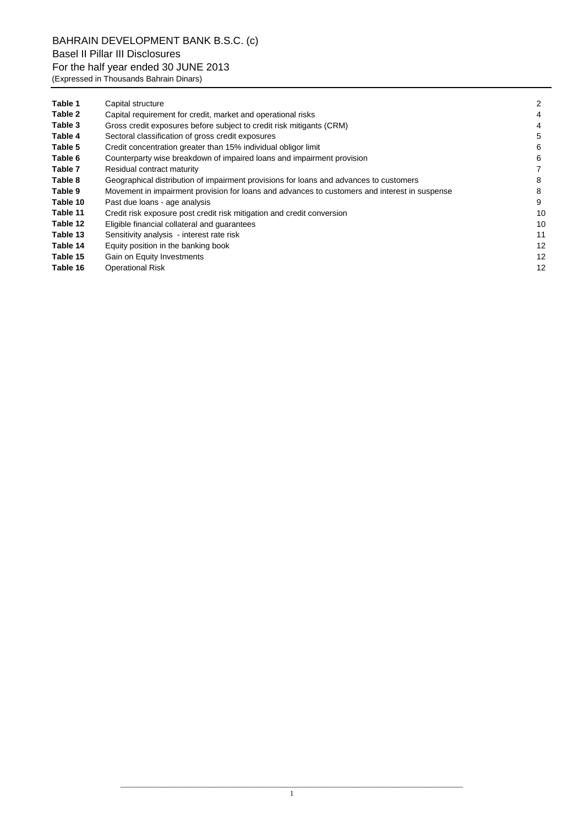BAHRAIN DEVELOPMENT BANK B.S.C. (c) Basel II Pillar III Disclosures For the half year ended 30 JUNE 2013 (Expressed in Thousands Bahrain Dinars)

| Table 1  | Capital structure                                                                             | 2  |
|----------|-----------------------------------------------------------------------------------------------|----|
| Table 2  | Capital requirement for credit, market and operational risks                                  | 4  |
| Table 3  | Gross credit exposures before subject to credit risk mitigants (CRM)                          | 4  |
| Table 4  | Sectoral classification of gross credit exposures                                             | 5  |
| Table 5  | Credit concentration greater than 15% individual obligor limit                                | 6  |
| Table 6  | Counterparty wise breakdown of impaired loans and impairment provision                        | 6  |
| Table 7  | Residual contract maturity                                                                    |    |
| Table 8  | Geographical distribution of impairment provisions for loans and advances to customers        | 8  |
| Table 9  | Movement in impairment provision for loans and advances to customers and interest in suspense | 8  |
| Table 10 | Past due loans - age analysis                                                                 | 9  |
| Table 11 | Credit risk exposure post credit risk mitigation and credit conversion                        | 10 |
| Table 12 | Eligible financial collateral and quarantees                                                  | 10 |
| Table 13 | Sensitivity analysis - interest rate risk                                                     | 11 |
| Table 14 | Equity position in the banking book                                                           | 12 |
| Table 15 | Gain on Equity Investments                                                                    | 12 |
| Table 16 | <b>Operational Risk</b>                                                                       | 12 |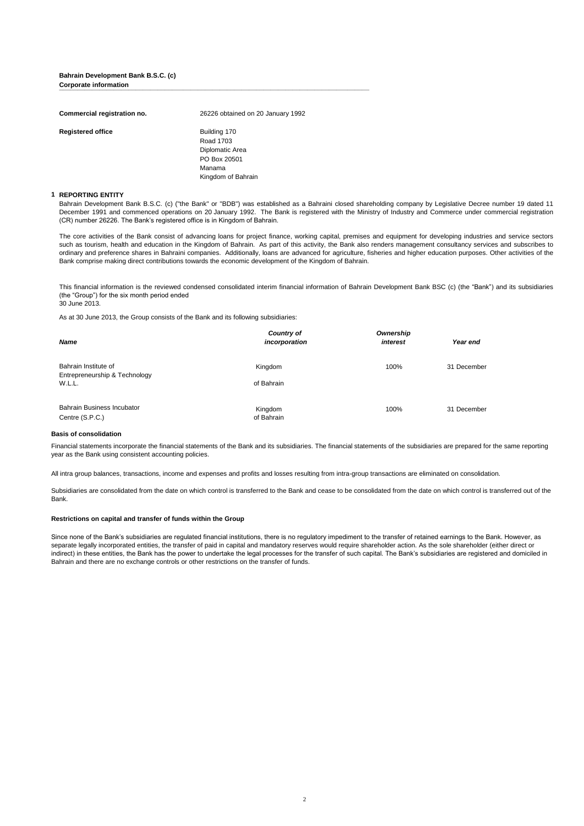#### **Bahrain Development Bank B.S.C. (c) Corporate information Corporate information**

| Commercial registration no. | 26226 obtained on 20 January 1992                                                            |
|-----------------------------|----------------------------------------------------------------------------------------------|
| <b>Registered office</b>    | Building 170<br>Road 1703<br>Diplomatic Area<br>PO Box 20501<br>Manama<br>Kingdom of Bahrain |

#### **1 REPORTING ENTITY**

Bahrain Development Bank B.S.C. (c) ("the Bank" or "BDB") was established as a Bahraini closed shareholding company by Legislative Decree number 19 dated 11 December 1991 and commenced operations on 20 January 1992. The Bank is registered with the Ministry of Industry and Commerce under commercial registration (CR) number 26226. The Bank"s registered office is in Kingdom of Bahrain.

The core activities of the Bank consist of advancing loans for project finance, working capital, premises and equipment for developing industries and service sectors such as tourism, health and education in the Kingdom of Bahrain. As part of this activity, the Bank also renders management consultancy services and subscribes to ordinary and preference shares in Bahraini companies. Additionally, loans are advanced for agriculture, fisheries and higher education purposes. Other activities of the Bank comprise making direct contributions towards the economic development of the Kingdom of Bahrain.

This financial information is the reviewed condensed consolidated interim financial information of Bahrain Development Bank BSC (c) (the "Bank") and its subsidiaries (the "Group") for the six month period ended 30 June 2013.

As at 30 June 2013, the Group consists of the Bank and its following subsidiaries:

| <b>Name</b>                                           | Country of<br>incorporation | Ownership<br>interest | Year end    |
|-------------------------------------------------------|-----------------------------|-----------------------|-------------|
| Bahrain Institute of<br>Entrepreneurship & Technology | Kingdom                     | 100%                  | 31 December |
| W.L.L.                                                | of Bahrain                  |                       |             |
| <b>Bahrain Business Incubator</b><br>Centre (S.P.C.)  | Kingdom<br>of Bahrain       | 100%                  | 31 December |

#### **Basis of consolidation**

Financial statements incorporate the financial statements of the Bank and its subsidiaries. The financial statements of the subsidiaries are prepared for the same reporting year as the Bank using consistent accounting policies.

All intra group balances, transactions, income and expenses and profits and losses resulting from intra-group transactions are eliminated on consolidation.

Subsidiaries are consolidated from the date on which control is transferred to the Bank and cease to be consolidated from the date on which control is transferred out of the Bank.

#### **Restrictions on capital and transfer of funds within the Group**

Since none of the Bank's subsidiaries are regulated financial institutions, there is no regulatory impediment to the transfer of retained earnings to the Bank. However, as separate legally incorporated entities, the transfer of paid in capital and mandatory reserves would require shareholder action. As the sole shareholder (either direct or indirect) in these entities, the Bank has the power to undertake the legal processes for the transfer of such capital. The Bank"s subsidiaries are registered and domiciled in Bahrain and there are no exchange controls or other restrictions on the transfer of funds.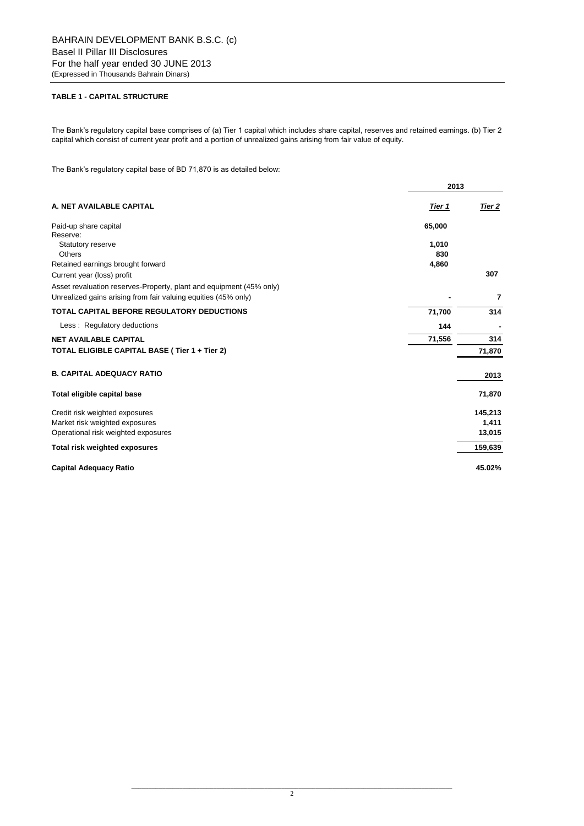## **TABLE 1 - CAPITAL STRUCTURE**

The Bank"s regulatory capital base comprises of (a) Tier 1 capital which includes share capital, reserves and retained earnings. (b) Tier 2 capital which consist of current year profit and a portion of unrealized gains arising from fair value of equity.

The Bank's regulatory capital base of BD 71,870 is as detailed below:

|                                                                     | 2013          |         |  |
|---------------------------------------------------------------------|---------------|---------|--|
| A. NET AVAILABLE CAPITAL                                            | <u>Tier 1</u> | Tier 2  |  |
| Paid-up share capital                                               | 65,000        |         |  |
| Reserve:                                                            |               |         |  |
| Statutory reserve                                                   | 1,010         |         |  |
| Others                                                              | 830           |         |  |
| Retained earnings brought forward                                   | 4,860         | 307     |  |
| Current year (loss) profit                                          |               |         |  |
| Asset revaluation reserves-Property, plant and equipment (45% only) |               |         |  |
| Unrealized gains arising from fair valuing equities (45% only)      |               | 7       |  |
| <b>TOTAL CAPITAL BEFORE REGULATORY DEDUCTIONS</b>                   | 71,700        | 314     |  |
| Less: Regulatory deductions                                         | 144           |         |  |
| <b>NET AVAILABLE CAPITAL</b>                                        | 71,556        | 314     |  |
| TOTAL ELIGIBLE CAPITAL BASE (Tier 1 + Tier 2)                       |               | 71,870  |  |
| <b>B. CAPITAL ADEQUACY RATIO</b>                                    |               | 2013    |  |
| Total eligible capital base                                         |               | 71,870  |  |
| Credit risk weighted exposures                                      |               | 145,213 |  |
| Market risk weighted exposures                                      |               | 1,411   |  |
| Operational risk weighted exposures                                 |               | 13,015  |  |
| Total risk weighted exposures                                       |               | 159,639 |  |
| <b>Capital Adequacy Ratio</b>                                       |               | 45.02%  |  |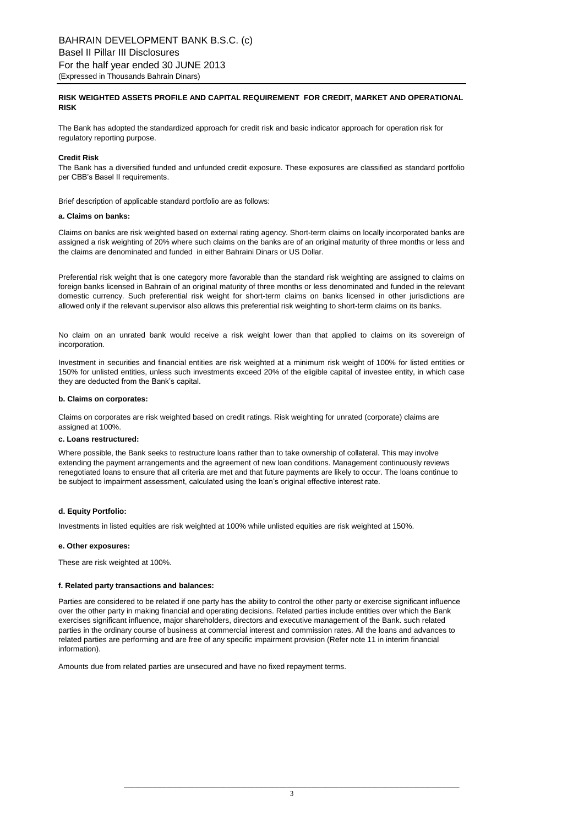## **RISK WEIGHTED ASSETS PROFILE AND CAPITAL REQUIREMENT FOR CREDIT, MARKET AND OPERATIONAL RISK**

The Bank has adopted the standardized approach for credit risk and basic indicator approach for operation risk for regulatory reporting purpose.

### **Credit Risk**

The Bank has a diversified funded and unfunded credit exposure. These exposures are classified as standard portfolio per CBB"s Basel II requirements.

Brief description of applicable standard portfolio are as follows:

### **a. Claims on banks:**

Claims on banks are risk weighted based on external rating agency. Short-term claims on locally incorporated banks are assigned a risk weighting of 20% where such claims on the banks are of an original maturity of three months or less and the claims are denominated and funded in either Bahraini Dinars or US Dollar.

Preferential risk weight that is one category more favorable than the standard risk weighting are assigned to claims on foreign banks licensed in Bahrain of an original maturity of three months or less denominated and funded in the relevant domestic currency. Such preferential risk weight for short-term claims on banks licensed in other jurisdictions are allowed only if the relevant supervisor also allows this preferential risk weighting to short-term claims on its banks.

No claim on an unrated bank would receive a risk weight lower than that applied to claims on its sovereign of incorporation.

Investment in securities and financial entities are risk weighted at a minimum risk weight of 100% for listed entities or 150% for unlisted entities, unless such investments exceed 20% of the eligible capital of investee entity, in which case they are deducted from the Bank's capital.

### **b. Claims on corporates:**

Claims on corporates are risk weighted based on credit ratings. Risk weighting for unrated (corporate) claims are assigned at 100%.

### **c. Loans restructured:**

Where possible, the Bank seeks to restructure loans rather than to take ownership of collateral. This may involve extending the payment arrangements and the agreement of new loan conditions. Management continuously reviews renegotiated loans to ensure that all criteria are met and that future payments are likely to occur. The loans continue to be subject to impairment assessment, calculated using the loan"s original effective interest rate.

### **d. Equity Portfolio:**

Investments in listed equities are risk weighted at 100% while unlisted equities are risk weighted at 150%.

### **e. Other exposures:**

These are risk weighted at 100%.

### **f. Related party transactions and balances:**

Parties are considered to be related if one party has the ability to control the other party or exercise significant influence over the other party in making financial and operating decisions. Related parties include entities over which the Bank exercises significant influence, major shareholders, directors and executive management of the Bank. such related parties in the ordinary course of business at commercial interest and commission rates. All the loans and advances to related parties are performing and are free of any specific impairment provision (Refer note 11 in interim financial information).

Amounts due from related parties are unsecured and have no fixed repayment terms.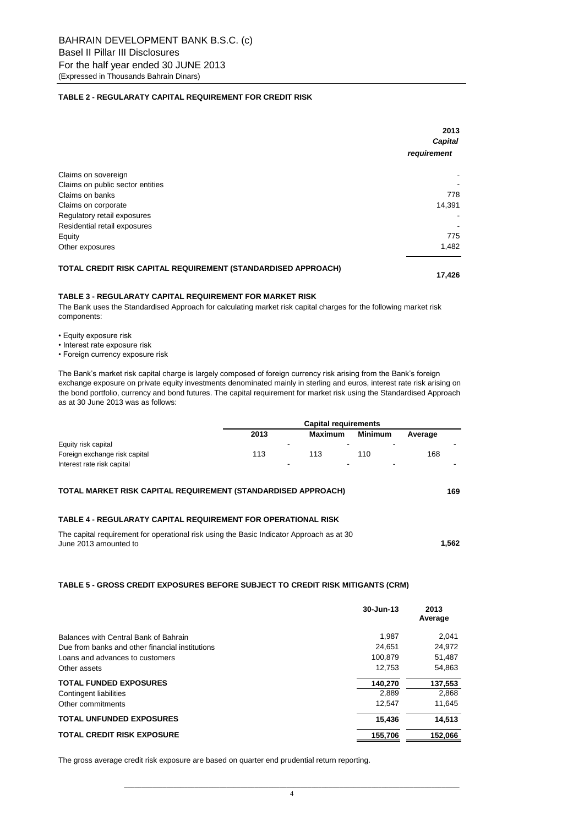### **TABLE 2 - REGULARATY CAPITAL REQUIREMENT FOR CREDIT RISK**

|                                                               | 2013<br><b>Capital</b> |
|---------------------------------------------------------------|------------------------|
|                                                               | requirement            |
| Claims on sovereign                                           |                        |
| Claims on public sector entities                              |                        |
| Claims on banks                                               | 778                    |
| Claims on corporate                                           | 14,391                 |
| Regulatory retail exposures                                   |                        |
| Residential retail exposures                                  |                        |
| Equity                                                        | 775                    |
| Other exposures                                               | 1,482                  |
| TOTAL CREDIT RISK CAPITAL REQUIREMENT (STANDARDISED APPROACH) |                        |

 **17,426** 

### **TABLE 3 - REGULARATY CAPITAL REQUIREMENT FOR MARKET RISK**

The Bank uses the Standardised Approach for calculating market risk capital charges for the following market risk components:

- Equity exposure risk
- Interest rate exposure risk
- Foreign currency exposure risk

The Bank's market risk capital charge is largely composed of foreign currency risk arising from the Bank's foreign exchange exposure on private equity investments denominated mainly in sterling and euros, interest rate risk arising on the bond portfolio, currency and bond futures. The capital requirement for market risk using the Standardised Approach as at 30 June 2013 was as follows:

|                               |      | <b>Capital requirements</b> |         |         |  |  |
|-------------------------------|------|-----------------------------|---------|---------|--|--|
|                               | 2013 | Maximum                     | Minimum | Average |  |  |
| Equity risk capital           | -    |                             | -       |         |  |  |
| Foreign exchange risk capital | 113  | 113                         | 110     | 168     |  |  |
| Interest rate risk capital    | -    | -                           | -       |         |  |  |

#### **169 TOTAL MARKET RISK CAPITAL REQUIREMENT (STANDARDISED APPROACH)**

### **TABLE 4 - REGULARATY CAPITAL REQUIREMENT FOR OPERATIONAL RISK**

| The capital requirement for operational risk using the Basic Indicator Approach as at 30 |       |
|------------------------------------------------------------------------------------------|-------|
| June 2013 amounted to                                                                    | 1,562 |

## **TABLE 5 - GROSS CREDIT EXPOSURES BEFORE SUBJECT TO CREDIT RISK MITIGANTS (CRM)**

|                                                 | 30-Jun-13 | 2013<br>Average |
|-------------------------------------------------|-----------|-----------------|
| Balances with Central Bank of Bahrain           | 1.987     | 2.041           |
| Due from banks and other financial institutions | 24.651    | 24,972          |
| Loans and advances to customers                 | 100.879   | 51,487          |
| Other assets                                    | 12.753    | 54.863          |
| <b>TOTAL FUNDED EXPOSURES</b>                   | 140.270   | 137,553         |
| Contingent liabilities                          | 2.889     | 2.868           |
| Other commitments                               | 12.547    | 11.645          |
| <b>TOTAL UNFUNDED EXPOSURES</b>                 | 15.436    | 14,513          |
| <b>TOTAL CREDIT RISK EXPOSURE</b>               | 155.706   | 152.066         |

The gross average credit risk exposure are based on quarter end prudential return reporting.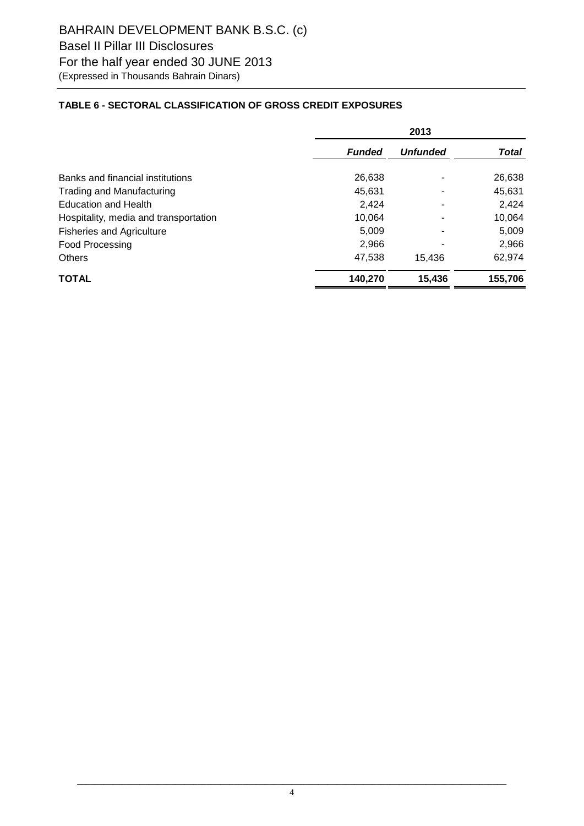## **TABLE 6 - SECTORAL CLASSIFICATION OF GROSS CREDIT EXPOSURES**

|                                       | 2013          |                 |              |  |
|---------------------------------------|---------------|-----------------|--------------|--|
|                                       | <b>Funded</b> | <b>Unfunded</b> | <b>Total</b> |  |
| Banks and financial institutions      | 26,638        |                 | 26,638       |  |
| <b>Trading and Manufacturing</b>      | 45.631        |                 | 45.631       |  |
| <b>Education and Health</b>           | 2,424         |                 | 2,424        |  |
| Hospitality, media and transportation | 10,064        |                 | 10,064       |  |
| <b>Fisheries and Agriculture</b>      | 5,009         |                 | 5,009        |  |
| <b>Food Processing</b>                | 2,966         |                 | 2,966        |  |
| <b>Others</b>                         | 47,538        | 15.436          | 62,974       |  |
| <b>TOTAL</b>                          | 140.270       | 15,436          | 155,706      |  |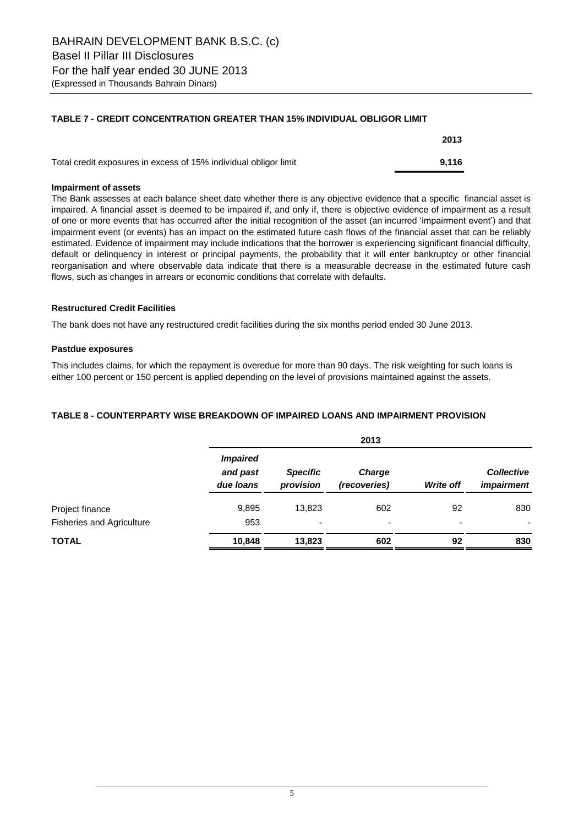## **TABLE 7 - CREDIT CONCENTRATION GREATER THAN 15% INDIVIDUAL OBLIGOR LIMIT**

|                                                                  | 2013  |
|------------------------------------------------------------------|-------|
| Total credit exposures in excess of 15% individual obligor limit | 9.116 |

## **Impairment of assets**

The Bank assesses at each balance sheet date whether there is any objective evidence that a specific financial asset is impaired. A financial asset is deemed to be impaired if, and only if, there is objective evidence of impairment as a result of one or more events that has occurred after the initial recognition of the asset (an incurred "impairment event") and that impairment event (or events) has an impact on the estimated future cash flows of the financial asset that can be reliably estimated. Evidence of impairment may include indications that the borrower is experiencing significant financial difficulty, default or delinquency in interest or principal payments, the probability that it will enter bankruptcy or other financial reorganisation and where observable data indicate that there is a measurable decrease in the estimated future cash flows, such as changes in arrears or economic conditions that correlate with defaults.

## **Restructured Credit Facilities**

The bank does not have any restructured credit facilities during the six months period ended 30 June 2013.

## **Pastdue exposures**

This includes claims, for which the repayment is overedue for more than 90 days. The risk weighting for such loans is either 100 percent or 150 percent is applied depending on the level of provisions maintained against the assets.

## **TABLE 8 - COUNTERPARTY WISE BREAKDOWN OF IMPAIRED LOANS AND IMPAIRMENT PROVISION**

|                                  |                                          | 2013                         |                          |                          |                                        |  |  |  |
|----------------------------------|------------------------------------------|------------------------------|--------------------------|--------------------------|----------------------------------------|--|--|--|
|                                  | <b>Impaired</b><br>and past<br>due loans | <b>Specific</b><br>provision | Charge<br>(recoveries)   | <b>Write off</b>         | <b>Collective</b><br><i>impairment</i> |  |  |  |
| Project finance                  | 9,895                                    | 13,823                       | 602                      | 92                       | 830                                    |  |  |  |
| <b>Fisheries and Agriculture</b> | 953                                      |                              | $\overline{\phantom{0}}$ | $\overline{\phantom{0}}$ | $\overline{\phantom{0}}$               |  |  |  |
| <b>TOTAL</b>                     | 10,848                                   | 13,823                       | 602                      | 92                       | 830                                    |  |  |  |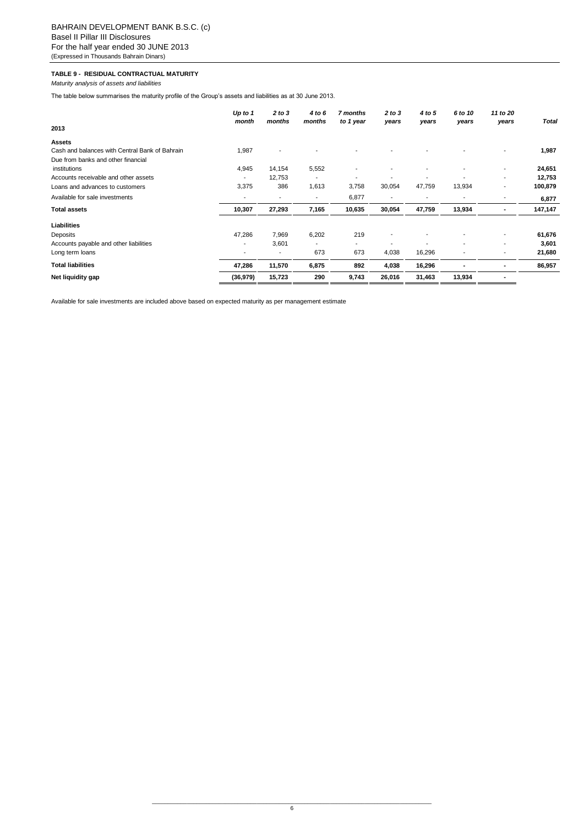### **TABLE 9 - RESIDUAL CONTRACTUAL MATURITY**

*Maturity analysis of assets and liabilities*

The table below summarises the maturity profile of the Group's assets and liabilities as at 30 June 2013.

|                                                | Up to 1<br>month | 2 to 3<br>months         | 4 to 6<br>months | 7 months<br>to 1 year    | 2 to 3<br>years | 4 to 5<br>years | 6 to 10<br>years         | 11 to 20<br>years        | <b>Total</b> |
|------------------------------------------------|------------------|--------------------------|------------------|--------------------------|-----------------|-----------------|--------------------------|--------------------------|--------------|
| 2013                                           |                  |                          |                  |                          |                 |                 |                          |                          |              |
| <b>Assets</b>                                  |                  |                          |                  |                          |                 |                 |                          |                          |              |
| Cash and balances with Central Bank of Bahrain | 1,987            |                          |                  |                          |                 |                 |                          | $\overline{\phantom{a}}$ | 1,987        |
| Due from banks and other financial             |                  |                          |                  |                          |                 |                 |                          |                          |              |
| institutions                                   | 4,945            | 14,154                   | 5,552            |                          |                 |                 |                          | $\overline{\phantom{a}}$ | 24,651       |
| Accounts receivable and other assets           | $\blacksquare$   | 12,753                   | ٠                |                          |                 |                 |                          | $\overline{\phantom{a}}$ | 12,753       |
| Loans and advances to customers                | 3,375            | 386                      | 1,613            | 3,758                    | 30,054          | 47,759          | 13,934                   | $\overline{\phantom{a}}$ | 100,879      |
| Available for sale investments                 | ٠                | $\overline{\phantom{a}}$ | ٠                | 6,877                    | ٠               | ٠               | $\overline{\phantom{a}}$ | $\overline{\phantom{a}}$ | 6,877        |
| <b>Total assets</b>                            | 10,307           | 27,293                   | 7,165            | 10,635                   | 30,054          | 47,759          | 13,934                   | $\overline{\phantom{a}}$ | 147,147      |
| Liabilities                                    |                  |                          |                  |                          |                 |                 |                          |                          |              |
| Deposits                                       | 47,286           | 7,969                    | 6,202            | 219                      |                 |                 |                          |                          | 61,676       |
| Accounts payable and other liabilities         | $\blacksquare$   | 3,601                    | ۰                | $\overline{\phantom{a}}$ |                 |                 |                          | $\overline{\phantom{a}}$ | 3,601        |
| Long term loans                                | -                |                          | 673              | 673                      | 4,038           | 16,296          |                          |                          | 21,680       |
| <b>Total liabilities</b>                       | 47,286           | 11,570                   | 6,875            | 892                      | 4,038           | 16,296          |                          |                          | 86,957       |
| Net liquidity gap                              | (36, 979)        | 15,723                   | 290              | 9,743                    | 26,016          | 31,463          | 13,934                   |                          |              |

Available for sale investments are included above based on expected maturity as per management estimate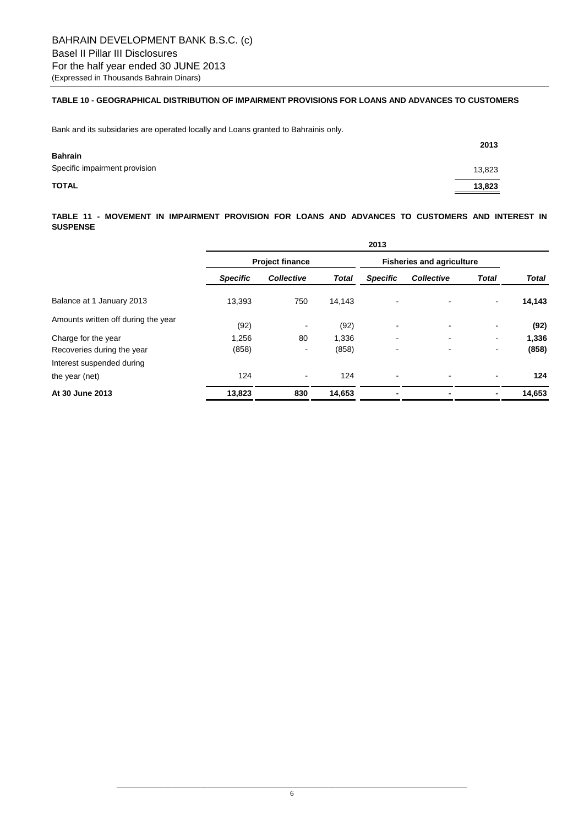## **TABLE 10 - GEOGRAPHICAL DISTRIBUTION OF IMPAIRMENT PROVISIONS FOR LOANS AND ADVANCES TO CUSTOMERS**

Bank and its subsidaries are operated locally and Loans granted to Bahrainis only.

|                               | 2013   |
|-------------------------------|--------|
| <b>Bahrain</b>                |        |
| Specific impairment provision | 13,823 |
| <b>TOTAL</b>                  | 13,823 |

## **TABLE 11 - MOVEMENT IN IMPAIRMENT PROVISION FOR LOANS AND ADVANCES TO CUSTOMERS AND INTEREST IN SUSPENSE**

|                                     | 2013                   |                   |              |                                  |                          |                          |              |
|-------------------------------------|------------------------|-------------------|--------------|----------------------------------|--------------------------|--------------------------|--------------|
|                                     | <b>Project finance</b> |                   |              | <b>Fisheries and agriculture</b> |                          |                          |              |
|                                     | <b>Specific</b>        | <b>Collective</b> | <b>Total</b> | <b>Specific</b>                  | <b>Collective</b>        | <b>Total</b>             | <b>Total</b> |
| Balance at 1 January 2013           | 13,393                 | 750               | 14,143       | $\blacksquare$                   |                          | ٠                        | 14,143       |
| Amounts written off during the year | (92)                   | $\blacksquare$    | (92)         | $\blacksquare$                   | $\overline{\phantom{0}}$ | ٠                        | (92)         |
| Charge for the year                 | 1,256                  | 80                | 1,336        | ۰                                | $\blacksquare$           | $\overline{\phantom{a}}$ | 1,336        |
| Recoveries during the year          | (858)                  | $\blacksquare$    | (858)        |                                  |                          | ۰                        | (858)        |
| Interest suspended during           |                        |                   |              |                                  |                          |                          |              |
| the year (net)                      | 124                    | $\blacksquare$    | 124          |                                  |                          |                          | 124          |
| At 30 June 2013                     | 13,823                 | 830               | 14,653       |                                  |                          |                          | 14,653       |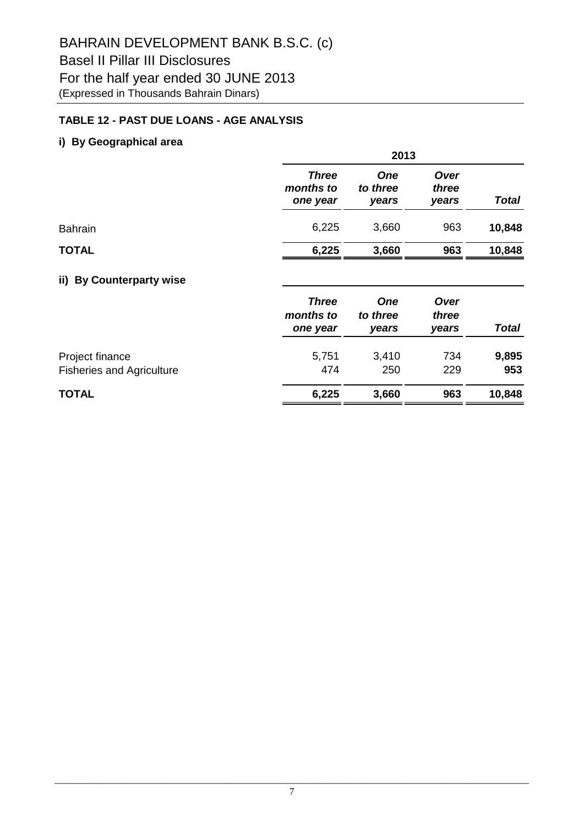## **TABLE 12 - PAST DUE LOANS - AGE ANALYSIS**

## **i) By Geographical area**

|                |                                       | 2013                            |                        |              |  |  |  |
|----------------|---------------------------------------|---------------------------------|------------------------|--------------|--|--|--|
|                | <b>Three</b><br>months to<br>one year | <b>One</b><br>to three<br>years | Over<br>three<br>years | <b>Total</b> |  |  |  |
| <b>Bahrain</b> | 6,225                                 | 3,660                           | 963                    | 10,848       |  |  |  |
| <b>TOTAL</b>   | 6,225                                 | 3,660                           | 963                    | 10,848       |  |  |  |
|                |                                       |                                 |                        |              |  |  |  |

## **ii) By Counterparty wise**

|                                                  | <b>Three</b><br>months to<br>one year | <b>One</b><br>to three<br>vears | Over<br>three<br>vears | <b>Total</b>  |
|--------------------------------------------------|---------------------------------------|---------------------------------|------------------------|---------------|
| Project finance                                  | 5,751                                 | 3,410                           | 734                    | 9,895         |
| <b>Fisheries and Agriculture</b><br><b>TOTAL</b> | 474<br>6,225                          | 250<br>3,660                    | 229<br>963             | 953<br>10,848 |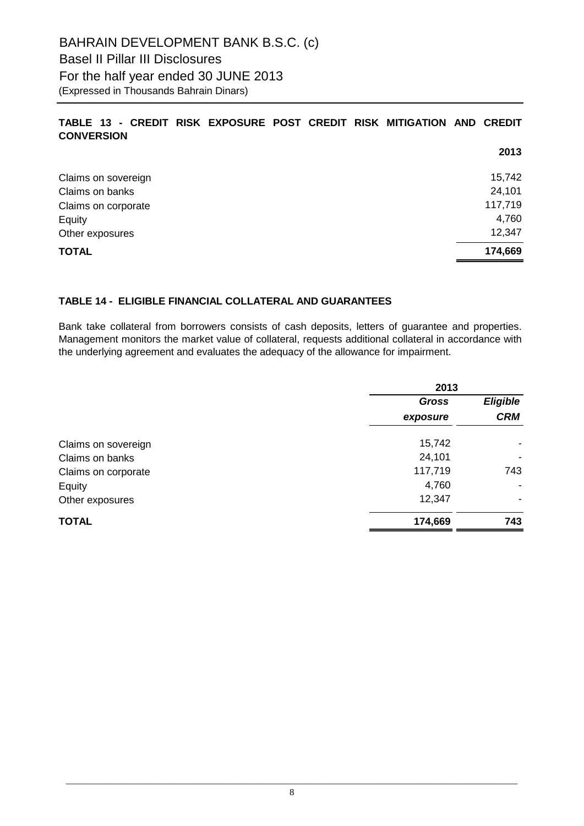# BAHRAIN DEVELOPMENT BANK B.S.C. (c) Basel II Pillar III Disclosures For the half year ended 30 JUNE 2013 (Expressed in Thousands Bahrain Dinars)

## **TABLE 13 - CREDIT RISK EXPOSURE POST CREDIT RISK MITIGATION AND CREDIT CONVERSION**

|                     | 2013    |
|---------------------|---------|
| Claims on sovereign | 15,742  |
| Claims on banks     | 24,101  |
| Claims on corporate | 117,719 |
| Equity              | 4,760   |
| Other exposures     | 12,347  |
| <b>TOTAL</b>        | 174,669 |

## **TABLE 14 - ELIGIBLE FINANCIAL COLLATERAL AND GUARANTEES**

Bank take collateral from borrowers consists of cash deposits, letters of guarantee and properties. Management monitors the market value of collateral, requests additional collateral in accordance with the underlying agreement and evaluates the adequacy of the allowance for impairment.

| 2013         |            |  |
|--------------|------------|--|
| <b>Gross</b> |            |  |
| exposure     | <b>CRM</b> |  |
| 15,742       |            |  |
| 24,101       | ۰          |  |
| 117,719      | 743        |  |
| 4,760        |            |  |
| 12,347       |            |  |
| 174,669      | 743        |  |
|              |            |  |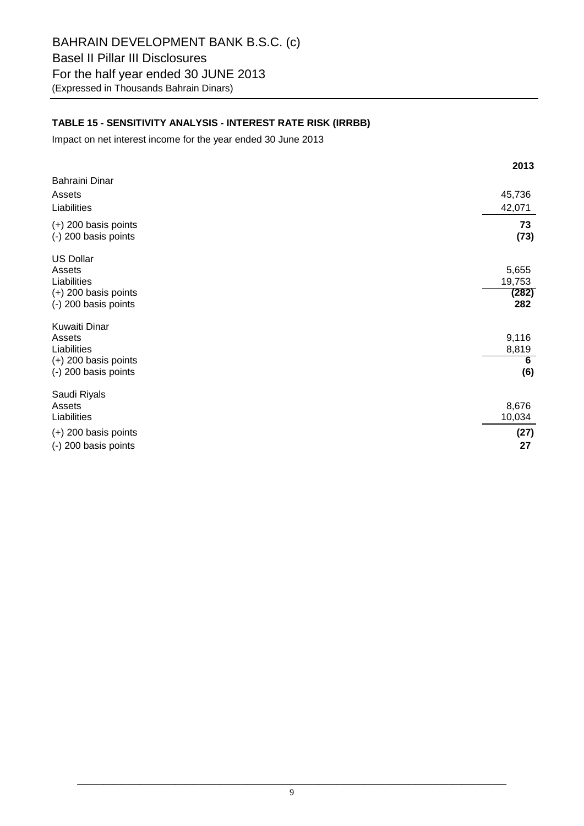## **TABLE 15 - SENSITIVITY ANALYSIS - INTEREST RATE RISK (IRRBB)**

Impact on net interest income for the year ended 30 June 2013

|                                                                                             | 2013                            |
|---------------------------------------------------------------------------------------------|---------------------------------|
| Bahraini Dinar<br>Assets<br>Liabilities                                                     | 45,736<br>42,071                |
| $(+)$ 200 basis points<br>(-) 200 basis points                                              | 73<br>(73)                      |
| <b>US Dollar</b><br>Assets<br>Liabilities<br>$(+)$ 200 basis points<br>(-) 200 basis points | 5,655<br>19,753<br>(282)<br>282 |
| Kuwaiti Dinar<br>Assets<br>Liabilities<br>$(+)$ 200 basis points<br>(-) 200 basis points    | 9,116<br>8,819<br>6<br>(6)      |
| Saudi Riyals<br>Assets<br>Liabilities<br>$(+)$ 200 basis points<br>(-) 200 basis points     | 8,676<br>10,034<br>(27)<br>27   |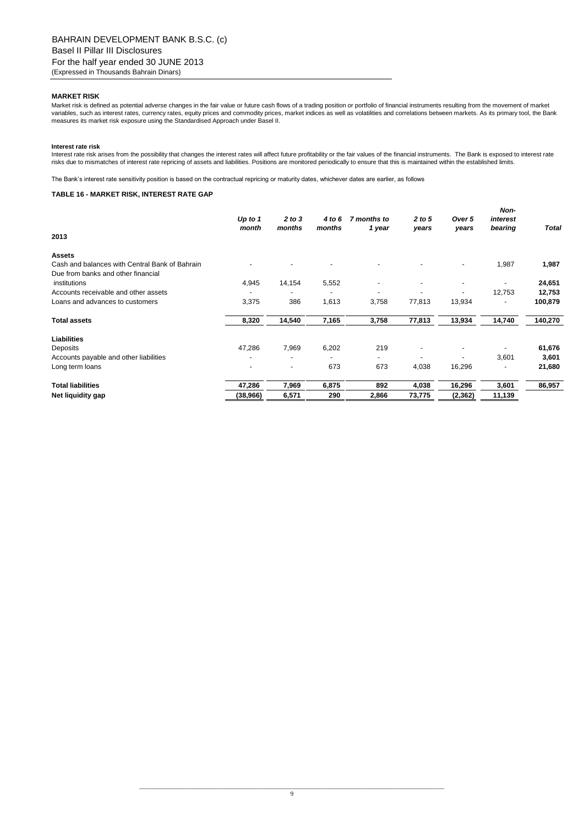### **MARKET RISK**

Market risk is defined as potential adverse changes in the fair value or future cash flows of a trading position or portfolio of financial instruments resulting from the movement of market variables, such as interest rates, currency rates, equity prices and commodity prices, market indices as well as volatilities and correlations between markets. As its primary tool, the Bank measures its market risk exposure using the Standardised Approach under Basel II.

#### **Interest rate risk**

Interest rate risk arises from the possibility that changes the interest rates will affect future profitability or the fair values of the financial instruments. The Bank is exposed to interest rate risks due to mismatches of interest rate repricing of assets and liabilities. Positions are monitored periodically to ensure that this is maintained within the established limits.

The Bank"s interest rate sensitivity position is based on the contractual repricing or maturity dates, whichever dates are earlier, as follows

#### **TABLE 16 - MARKET RISK, INTEREST RATE GAP**

| 2013                                           | Up to 1<br>month | 2 to 3<br>months         | 4 to 6<br>months | 7 months to<br>1 year | 2 to 5<br>years | Over 5<br>years | Non-<br>interest<br>bearing | <b>Total</b> |
|------------------------------------------------|------------------|--------------------------|------------------|-----------------------|-----------------|-----------------|-----------------------------|--------------|
|                                                |                  |                          |                  |                       |                 |                 |                             |              |
| <b>Assets</b>                                  |                  |                          |                  |                       |                 |                 |                             |              |
| Cash and balances with Central Bank of Bahrain |                  |                          |                  |                       |                 |                 | 1,987                       | 1,987        |
| Due from banks and other financial             |                  |                          |                  |                       |                 |                 |                             |              |
| institutions                                   | 4,945            | 14,154                   | 5,552            |                       |                 |                 |                             | 24,651       |
| Accounts receivable and other assets           |                  |                          | -                |                       |                 |                 | 12,753                      | 12,753       |
| Loans and advances to customers                | 3,375            | 386                      | 1,613            | 3,758                 | 77,813          | 13,934          |                             | 100,879      |
| <b>Total assets</b>                            | 8,320            | 14,540                   | 7,165            | 3,758                 | 77,813          | 13,934          | 14,740                      | 140,270      |
| <b>Liabilities</b>                             |                  |                          |                  |                       |                 |                 |                             |              |
| Deposits                                       | 47,286           | 7,969                    | 6,202            | 219                   |                 |                 |                             | 61,676       |
| Accounts payable and other liabilities         |                  | $\overline{\phantom{0}}$ | -                |                       |                 |                 | 3,601                       | 3,601        |
| Long term loans                                | ۰                | ٠                        | 673              | 673                   | 4,038           | 16,296          |                             | 21,680       |
| <b>Total liabilities</b>                       | 47,286           | 7,969                    | 6,875            | 892                   | 4,038           | 16,296          | 3,601                       | 86,957       |
| Net liquidity gap                              | (38,966)         | 6,571                    | 290              | 2,866                 | 73,775          | (2,362)         | 11,139                      |              |
|                                                |                  |                          |                  |                       |                 |                 |                             |              |